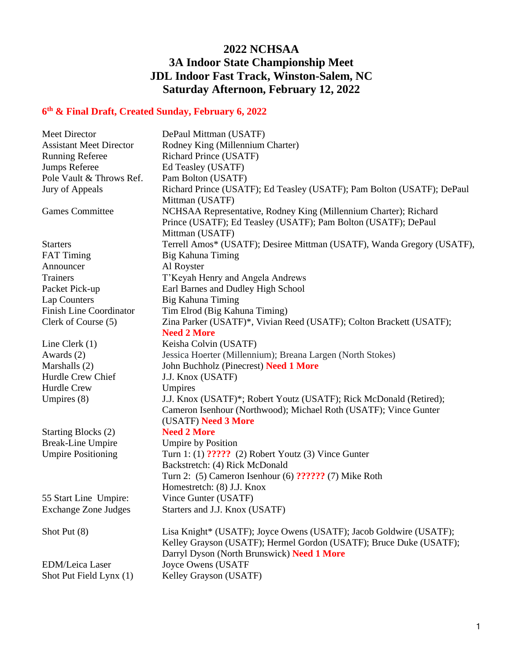## **2022 NCHSAA 3A Indoor State Championship Meet JDL Indoor Fast Track, Winston-Salem, NC Saturday Afternoon, February 12, 2022**

## **6 th & Final Draft, Created Sunday, February 6, 2022**

| Meet Director                  | DePaul Mittman (USATF)                                                                                                                                        |
|--------------------------------|---------------------------------------------------------------------------------------------------------------------------------------------------------------|
| <b>Assistant Meet Director</b> | Rodney King (Millennium Charter)                                                                                                                              |
| <b>Running Referee</b>         | Richard Prince (USATF)                                                                                                                                        |
| Jumps Referee                  | Ed Teasley (USATF)                                                                                                                                            |
| Pole Vault & Throws Ref.       | Pam Bolton (USATF)                                                                                                                                            |
| Jury of Appeals                | Richard Prince (USATF); Ed Teasley (USATF); Pam Bolton (USATF); DePaul<br>Mittman (USATF)                                                                     |
| <b>Games Committee</b>         | NCHSAA Representative, Rodney King (Millennium Charter); Richard<br>Prince (USATF); Ed Teasley (USATF); Pam Bolton (USATF); DePaul<br>Mittman (USATF)         |
| <b>Starters</b>                | Terrell Amos* (USATF); Desiree Mittman (USATF), Wanda Gregory (USATF),                                                                                        |
| <b>FAT Timing</b>              | Big Kahuna Timing                                                                                                                                             |
| Announcer                      | Al Royster                                                                                                                                                    |
| Trainers                       | T'Keyah Henry and Angela Andrews                                                                                                                              |
| Packet Pick-up                 | Earl Barnes and Dudley High School                                                                                                                            |
| Lap Counters                   | Big Kahuna Timing                                                                                                                                             |
| <b>Finish Line Coordinator</b> | Tim Elrod (Big Kahuna Timing)                                                                                                                                 |
| Clerk of Course (5)            | Zina Parker (USATF)*, Vivian Reed (USATF); Colton Brackett (USATF);                                                                                           |
|                                | <b>Need 2 More</b>                                                                                                                                            |
| Line Clerk $(1)$               | Keisha Colvin (USATF)                                                                                                                                         |
| Awards (2)                     | Jessica Hoerter (Millennium); Breana Largen (North Stokes)                                                                                                    |
| Marshalls $(2)$                | John Buchholz (Pinecrest) Need 1 More                                                                                                                         |
| Hurdle Crew Chief              | J.J. Knox (USATF)                                                                                                                                             |
| Hurdle Crew                    | Umpires                                                                                                                                                       |
| Umpires $(8)$                  | J.J. Knox (USATF)*; Robert Youtz (USATF); Rick McDonald (Retired);<br>Cameron Isenhour (Northwood); Michael Roth (USATF); Vince Gunter<br>(USATF) Need 3 More |
| Starting Blocks (2)            | <b>Need 2 More</b>                                                                                                                                            |
| <b>Break-Line Umpire</b>       | <b>Umpire by Position</b>                                                                                                                                     |
| <b>Umpire Positioning</b>      | Turn 1: (1) $?$ ???? (2) Robert Youtz (3) Vince Gunter                                                                                                        |
|                                | Backstretch: (4) Rick McDonald                                                                                                                                |
|                                | Turn 2: (5) Cameron Isenhour (6) ?????? (7) Mike Roth                                                                                                         |
|                                | Homestretch: (8) J.J. Knox                                                                                                                                    |
| 55 Start Line Umpire:          | Vince Gunter (USATF)                                                                                                                                          |
| <b>Exchange Zone Judges</b>    | Starters and J.J. Knox (USATF)                                                                                                                                |
| Shot Put (8)                   | Lisa Knight* (USATF); Joyce Owens (USATF); Jacob Goldwire (USATF);                                                                                            |
|                                | Kelley Grayson (USATF); Hermel Gordon (USATF); Bruce Duke (USATF);                                                                                            |
|                                | Darryl Dyson (North Brunswick) Need 1 More                                                                                                                    |
| <b>EDM/Leica Laser</b>         | Joyce Owens (USATF                                                                                                                                            |
| Shot Put Field Lynx (1)        | Kelley Grayson (USATF)                                                                                                                                        |